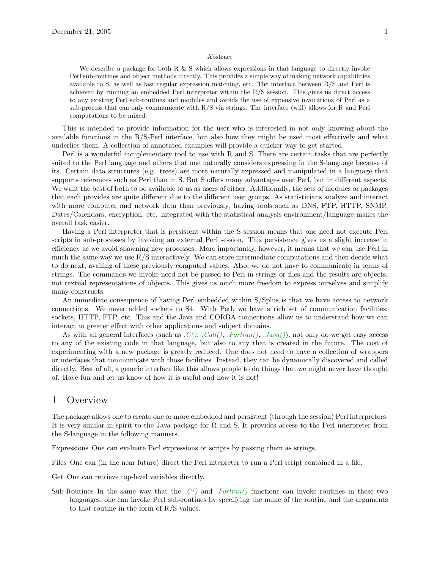#### Abstract

We describe a package for both R  $\&$  S which allows expressions in that language to directly invoke Perl sub-routines and object methods directly. This provides a simple way of making network capabilities available to S, as well as fast regular expression matching, etc. The interface between R/S and Perl is achieved by running an embedded Perl interpreter within the R/S session. This gives us direct access to any existing Perl sub-routines and modules and avoids the use of expensive invocations of Perl as a sub-process that can only communicate with R/S via strings. The interface (will) allows for R and Perl computations to be mixed.

This is intended to provide information for the user who is interested in not only knowing about the available functions in the R/S-Perl interface, but also how they might be used most effectively and what underlies them. A collection of annotated examples will provide a quicker way to get started.

Perl is a wonderful complementary tool to use with R and S. There are certain tasks that are perfectly suited to the Perl language and others that one naturally considers expressing in the S-language because of its. Certain data structures (e.g. trees) are more naturally expressed and manipulated in a language that supports references such as Perl than in S. But S offers many advantages over Perl, but in different aspects. We want the best of both to be available to us as users of either. Additionally, the sets of modules or packages that each provides are quite different due to the different user groups. As statisticians analyze and interact with more computer and network data than previously, having tools such as DNS, FTP, HTTP, SNMP, Dates/Calendars, encryption, etc. integrated with the statistical analysis environment/language makes the overall task easier.

Having a Perl interpreter that is persistent within the S session means that one need not execute Perl scripts in sub-processes by invoking an external Perl session. This persistence gives us a slight increase in efficiency as we avoid spawning new processes. More importantly, however, it means that we can use Perl in much the same way we use R/S interactively. We can store intermediate computations and then decide what to do next, availing of these previously computed values. Also, we do not have to communicate in terms of strings. The commands we invoke need not be passed to Perl in strings or files and the results are objects, not textual representations of objects. This gives us much more freedom to express ourselves and simplify many constructs.

An immediate consequence of having Perl embedded within S/Splus is that we have access to network connections. We never added sockets to S4. With Perl, we have a rich set of communication facilities: sockets, HTTP, FTP, etc. This and the Java and CORBA connections allow us to understand how we can interact to greater effect with other applications and subject domains.

As with all general interfaces (such as  $.C(), .Call(), .Fortran(), .Java(),$  not only do we get easy access to any of the existing code in that language, but also to any that is created in the future. The cost of experimenting with a new package is greatly reduced. One does not need to have a collection of wrappers or interfaces that communicate with those facilities. Instead, they can be dynamically discovered and called directly. Best of all, a generic interface like this allows people to do things that we might never have thought of. Have fun and let us know of how it is useful and how it is not!

## 1 Overview

The package allows one to create one or more embedded and persistent (through the session) Perl interpreters. It is very similar in spirit to the Java package for R and S. It provides access to the Perl interpreter from the S-language in the following manners.

Expressions One can evaluate Perl expressions or scripts by passing them as strings.

Files One can (in the near future) direct the Perl intepreter to run a Perl script contained in a file.

Get One can retrieve top-level variables directly.

Sub-Routines In the same way that the  $C()$  and  $Fortran()$  functions can invoke routines in these two languages, one can invoke Perl sub-routines by specifying the name of the routine and the arguments to that routine in the form of R/S values.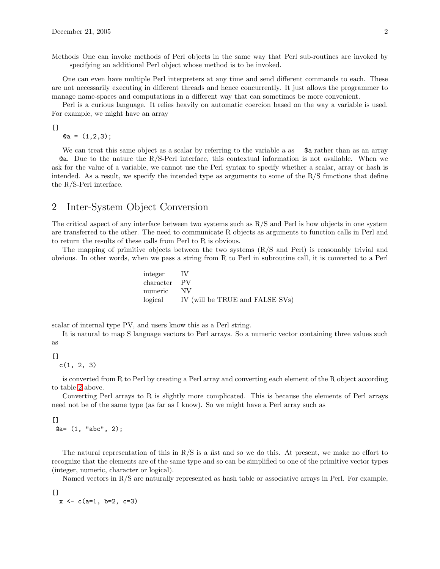Methods One can invoke methods of Perl objects in the same way that Perl sub-routines are invoked by specifying an additional Perl object whose method is to be invoked.

One can even have multiple Perl interpreters at any time and send different commands to each. These are not necessarily executing in different threads and hence concurrently. It just allows the programmer to manage name-spaces and computations in a different way that can sometimes be more convenient.

Perl is a curious language. It relies heavily on automatic coercion based on the way a variable is used. For example, we might have an array

 $[$ 

 $@a = (1,2,3);$ 

We can treat this same object as a scalar by referring to the variable a as  $\quad$  \$a rather than as an array @a. Due to the nature the R/S-Perl interface, this contextual information is not available. When we ask for the value of a variable, we cannot use the Perl syntax to specify whether a scalar, array or hash is intended. As a result, we specify the intended type as arguments to some of the  $R/S$  functions that define the R/S-Perl interface.

# <span id="page-1-0"></span>2 Inter-System Object Conversion

The critical aspect of any interface between two systems such as R/S and Perl is how objects in one system are transferred to the other. The need to communicate R objects as arguments to function calls in Perl and to return the results of these calls from Perl to R is obvious.

The mapping of primitive objects between the two systems (R/S and Perl) is reasonably trivial and obvious. In other words, when we pass a string from R to Perl in subroutine call, it is converted to a Perl

| integer IV   |                                         |
|--------------|-----------------------------------------|
| character PV |                                         |
| numeric NV   |                                         |
|              | logical IV (will be TRUE and FALSE SVs) |

scalar of internal type PV, and users know this as a Perl string.

It is natural to map S language vectors to Perl arrays. So a numeric vector containing three values such as

 $\Box$ 

 $c(1, 2, 3)$ 

is converted from R to Perl by creating a Perl array and converting each element of the R object according to table [2](#page-1-0) above.

Converting Perl arrays to R is slightly more complicated. This is because the elements of Perl arrays need not be of the same type (as far as I know). So we might have a Perl array such as

[] @a= (1, "abc", 2);

The natural representation of this in  $R/S$  is a list and so we do this. At present, we make no effort to recognize that the elements are of the same type and so can be simplified to one of the primitive vector types (integer, numeric, character or logical).

Named vectors in R/S are naturally represented as hash table or associative arrays in Perl. For example,

[]  $x \leq -c(a=1, b=2, c=3)$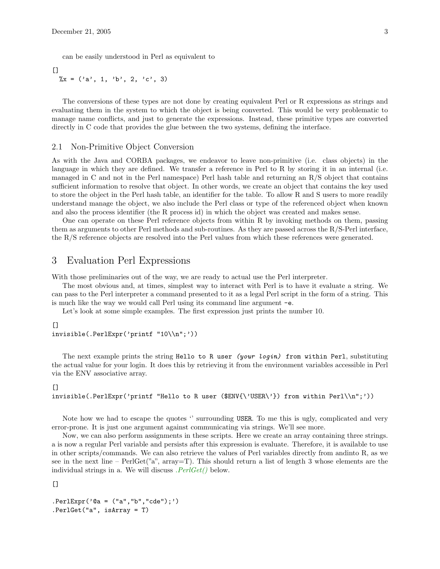can be easily understood in Perl as equivalent to

 $\lceil$ ]  $\chi = (\nu a', 1, \nu b', 2, \nu c', 3)$ 

The conversions of these types are not done by creating equivalent Perl or R expressions as strings and evaluating them in the system to which the object is being converted. This would be very problematic to manage name conflicts, and just to generate the expressions. Instead, these primitive types are converted directly in C code that provides the glue between the two systems, defining the interface.

#### 2.1 Non-Primitive Object Conversion

As with the Java and CORBA packages, we endeavor to leave non-primitive (i.e. class objects) in the language in which they are defined. We transfer a reference in Perl to R by storing it in an internal (i.e. managed in C and not in the Perl namespace) Perl hash table and returning an R/S object that contains sufficient information to resolve that object. In other words, we create an object that contains the key used to store the object in the Perl hash table, an identifier for the table. To allow R and S users to more readily understand manage the object, we also include the Perl class or type of the referenced object when known and also the process identifier (the R process id) in which the object was created and makes sense.

One can operate on these Perl reference objects from within R by invoking methods on them, passing them as arguments to other Perl methods and sub-routines. As they are passed across the R/S-Perl interface, the R/S reference objects are resolved into the Perl values from which these references were generated.

## 3 Evaluation Perl Expressions

With those preliminaries out of the way, we are ready to actual use the Perl interpreter.

The most obvious and, at times, simplest way to interact with Perl is to have it evaluate a string. We can pass to the Perl interpreter a command presented to it as a legal Perl script in the form of a string. This is much like the way we would call Perl using its command line argument -e.

Let's look at some simple examples. The first expression just prints the number 10.

#### $\lceil$

```
invisible(.PerlExpr('printf "10\\n";'))
```
The next example prints the string Hello to R user (your login) from within Perl, substituting the actual value for your login. It does this by retrieving it from the environment variables accessible in Perl via the ENV associative array.

#### $[$

invisible(.PerlExpr('printf "Hello to R user (\$ENV{\'USER\'}) from within Perl\\n";'))

Note how we had to escape the quotes " surrounding USER. To me this is ugly, complicated and very error-prone. It is just one argument against communicating via strings. We'll see more.

Now, we can also perform assignments in these scripts. Here we create an array containing three strings. a is now a regular Perl variable and persists after this expression is evaluate. Therefore, it is available to use in other scripts/commands. We can also retrieve the values of Perl variables directly from andinto R, as we see in the next line –  $PerlGet("a", array=T)$ . This should return a list of length 3 whose elements are the individual strings in a. We will discuss  $. PerlGet()$  below.

[]

```
.PerlExpr('@a = ("a","b","cde");')
.PerlGet("a", isArray = T)
```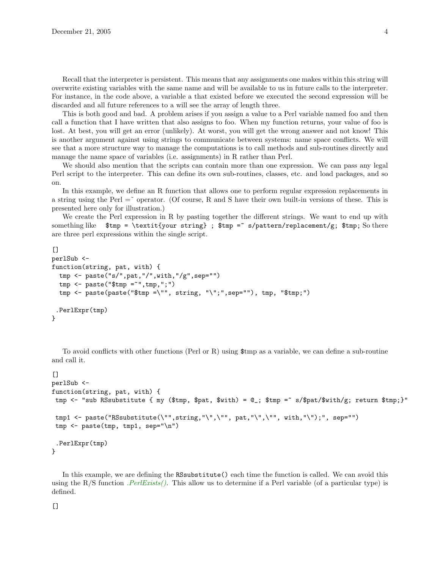Recall that the interpreter is persistent. This means that any assignments one makes within this string will overwrite existing variables with the same name and will be available to us in future calls to the interpreter. For instance, in the code above, a variable a that existed before we executed the second expression will be discarded and all future references to a will see the array of length three.

This is both good and bad. A problem arises if you assign a value to a Perl variable named foo and then call a function that I have written that also assigns to foo. When my function returns, your value of foo is lost. At best, you will get an error (unlikely). At worst, you will get the wrong answer and not know! This is another argument against using strings to communicate between systems: name space conflicts. We will see that a more structure way to manage the computations is to call methods and sub-routines directly and manage the name space of variables (i.e. assignments) in R rather than Perl.

We should also mention that the scripts can contain more than one expression. We can pass any legal Perl script to the interpreter. This can define its own sub-routines, classes, etc. and load packages, and so on.

In this example, we define an R function that allows one to perform regular expression replacements in a string using the Perl  $=$  operator. (Of course, R and S have their own built-in versions of these. This is presented here only for illustration.)

We create the Perl expression in R by pasting together the different strings. We want to end up with something like  $\text{temp} = \text{texttyour string}$ ;  $\text{temp} = s/\text{pattern/replacement/g}$ ;  $\text{temp}$ ; So there are three perl expressions within the single script.

```
\BoxperlSub <-
function(string, pat, with) {
  tmp <- paste("s/",pat,"/",with,"/g",sep="")
  tmp <- paste("$tmp =~",tmp,";")
  tmp <- paste(paste("$tmp =\"", string, "\";",sep=""), tmp, "$tmp;")
 .PerlExpr(tmp)
}
```
To avoid conflicts with other functions (Perl or R) using \$tmp as a variable, we can define a sub-routine and call it.

```
\BoxperlSub <-
function(string, pat, with) {
tmp <- "sub RSsubstitute { my ($tmp, $pat, $with) = Q_; $tmp = \sim s/$pat/$with/g; return $tmp;}"
tmp1 <- paste("RSsubstitute(\"",string,"\",\"", pat,"\",\"", with,"\");", sep="")
tmp <- paste(tmp, tmp1, sep="\n")
 .PerlExpr(tmp)
}
```
In this example, we are defining the RSsubstitute() each time the function is called. We can avoid this using the R/S function  $PerlExists()$ . This allow us to determine if a Perl variable (of a particular type) is defined.

 $[$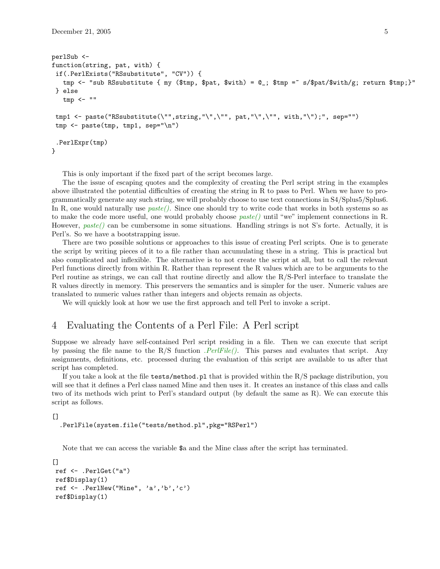```
perlSub <-
function(string, pat, with) {
if(.PerlExists("RSsubstitute", "CV")) {
   tmp <- "sub RSsubstitute { my ($tmp, $pat, $with) = @_; $tmp =~ s/$pat/$with/g; return $tmp;}"
} else
   tmp < - ""
tmp1 <- paste("RSsubstitute(\"",string,"\",\"", pat,"\",\"", with,"\");", sep="")
tmp \leftarrow paste(tmp, tmp1, sep="\n'\n').PerlExpr(tmp)
}
```
This is only important if the fixed part of the script becomes large.

The the issue of escaping quotes and the complexity of creating the Perl script string in the examples above illustrated the potential difficulties of creating the string in R to pass to Perl. When we have to programmatically generate any such string, we will probably choose to use text connections in S4/Splus5/Splus6. In R, one would naturally use  $paste()$ . Since one should try to write code that works in both systems so as to make the code more useful, one would probably choose  $paste()$  until "we" implement connections in R. However,  $paste()$  can be cumbersome in some situations. Handling strings is not S's forte. Actually, it is Perl's. So we have a bootstrapping issue.

There are two possible solutions or approaches to this issue of creating Perl scripts. One is to generate the script by writing pieces of it to a file rather than accumulating these in a string. This is practical but also complicated and inflexible. The alternative is to not create the script at all, but to call the relevant Perl functions directly from within R. Rather than represent the R values which are to be arguments to the Perl routine as strings, we can call that routine directly and allow the R/S-Perl interface to translate the R values directly in memory. This preservers the semantics and is simpler for the user. Numeric values are translated to numeric values rather than integers and objects remain as objects.

We will quickly look at how we use the first approach and tell Perl to invoke a script.

### 4 Evaluating the Contents of a Perl File: A Perl script

Suppose we already have self-contained Perl script residing in a file. Then we can execute that script by passing the file name to the R/S function  $PerlFile(.)$ . This parses and evaluates that script. Any assignments, definitions, etc. processed during the evaluation of this script are available to us after that script has completed.

If you take a look at the file tests/method.pl that is provided within the R/S package distribution, you will see that it defines a Perl class named Mine and then uses it. It creates an instance of this class and calls two of its methods wich print to Perl's standard output (by default the same as R). We can execute this script as follows.

#### $\lceil$ ]

.PerlFile(system.file("tests/method.pl",pkg="RSPerl")

Note that we can access the variable \$a and the Mine class after the script has terminated.

```
[]
ref <- .PerlGet("a")
ref$Display(1)
ref \leq . PerlNew("Mine", 'a','b','c')
ref$Display(1)
```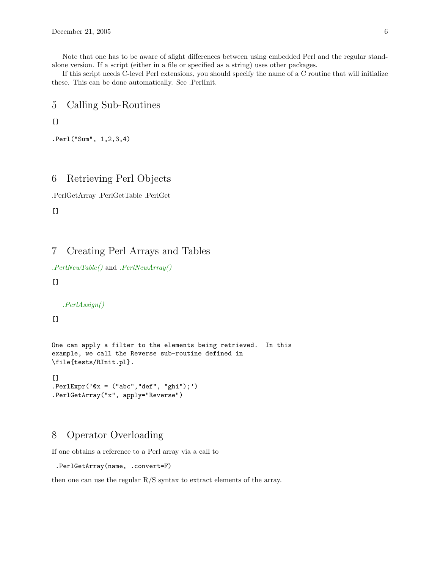Note that one has to be aware of slight differences between using embedded Perl and the regular standalone version. If a script (either in a file or specified as a string) uses other packages.

If this script needs C-level Perl extensions, you should specify the name of a C routine that will initialize these. This can be done automatically. See .PerlInit.

5 Calling Sub-Routines

 $[$ 

```
.Perl("Sum", 1,2,3,4)
```
# 6 Retrieving Perl Objects

.PerlGetArray .PerlGetTable .PerlGet

 $[$ 

# 7 Creating Perl Arrays and Tables

```
.PerlNewTable() and .PerlNewArray()
```
 $[$ 

.PerlAssign()

[]

```
One can apply a filter to the elements being retrieved. In this
example, we call the Reverse sub-routine defined in
\file{tests/RInit.pl}.
```

```
\Box. PerlExpr('@x = ("abc", "def", "ghi");').PerlGetArray("x", apply="Reverse")
```
# 8 Operator Overloading

If one obtains a reference to a Perl array via a call to

```
.PerlGetArray(name, .convert=F)
```
then one can use the regular  $R/S$  syntax to extract elements of the array.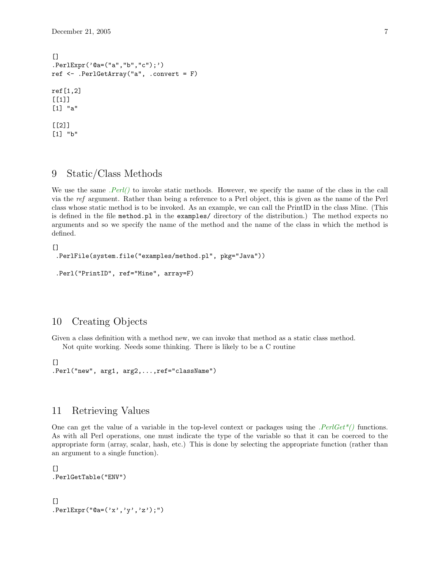```
[.PerlExpr('@a=("a","b","c");')
ref <- .PerlGetArray("a", .convert = F)
ref[1,2]
[[1]]
[1] "a"
[[2]]
[1] "b"
```
## 9 Static/Class Methods

We use the same  $. Perl()$  to invoke static methods. However, we specify the name of the class in the call via the ref argument. Rather than being a reference to a Perl object, this is given as the name of the Perl class whose static method is to be invoked. As an example, we can call the PrintID in the class Mine. (This is defined in the file method.pl in the examples/ directory of the distribution.) The method expects no arguments and so we specify the name of the method and the name of the class in which the method is defined.

```
[.PerlFile(system.file("examples/method.pl", pkg="Java"))
.Perl("PrintID", ref="Mine", array=F)
```
## 10 Creating Objects

Given a class definition with a method new, we can invoke that method as a static class method. Not quite working. Needs some thinking. There is likely to be a C routine

```
[.Perl("new", arg1, arg2,...,ref="className")
```
## 11 Retrieving Values

One can get the value of a variable in the top-level context or packages using the  $PerlGet<sup>*</sup>$  functions. As with all Perl operations, one must indicate the type of the variable so that it can be coerced to the appropriate form (array, scalar, hash, etc.) This is done by selecting the appropriate function (rather than an argument to a single function).

 $\lceil$ ] .PerlGetTable("ENV")  $\lceil$ ]

.PerlExpr("@a= $('x', 'y', 'z');")$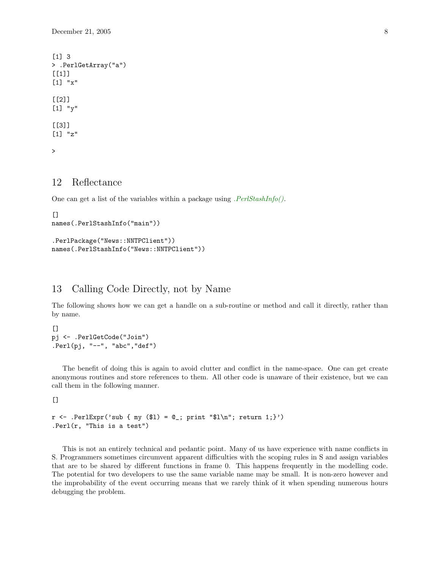```
[1] 3
> .PerlGetArray("a")
[[1]]
[1] "x"
[[2]]
[1] "y"
[[3]]
[1] "z"
>
```
# 12 Reflectance

One can get a list of the variables within a package using  $. PerlStashInfo().$ 

```
[names(.PerlStashInfo("main"))
```

```
.PerlPackage("News::NNTPClient"))
names(.PerlStashInfo("News::NNTPClient"))
```
# 13 Calling Code Directly, not by Name

The following shows how we can get a handle on a sub-routine or method and call it directly, rather than by name.

```
[pj <- .PerlGetCode("Join")
.Perl(pj, "--", "abc","def")
```
The benefit of doing this is again to avoid clutter and conflict in the name-space. One can get create anonymous routines and store references to them. All other code is unaware of their existence, but we can call them in the following manner.

 $[$ 

```
r \leq -\text{PerlExpr}('sub \{ my (\$1) = \mathbb{Q}_; print "\$1\n"; return 1;\}'').Perl(r, "This is a test")
```
This is not an entirely technical and pedantic point. Many of us have experience with name conflicts in S. Programmers sometimes circumvent apparent difficulties with the scoping rules in S and assign variables that are to be shared by different functions in frame 0. This happens frequently in the modelling code. The potential for two developers to use the same variable name may be small. It is non-zero however and the improbability of the event occurring means that we rarely think of it when spending numerous hours debugging the problem.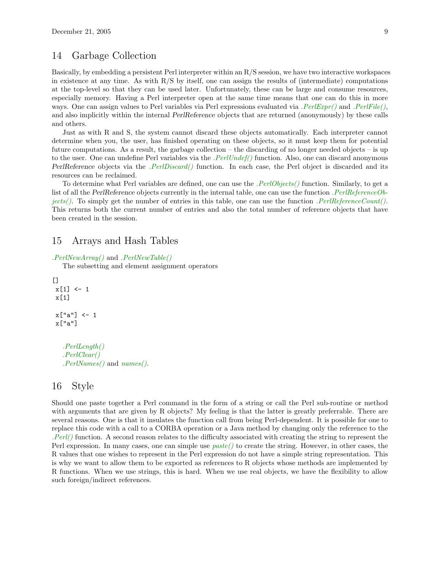## 14 Garbage Collection

Basically, by embedding a persistent Perl interpreter within an R/S session, we have two interactive workspaces in existence at any time. As with  $R/S$  by itself, one can assign the results of (intermediate) computations at the top-level so that they can be used later. Unfortunately, these can be large and consume resources, especially memory. Having a Perl interpreter open at the same time means that one can do this in more ways. One can assign values to Perl variables via Perl expressions evaluated via . $PerlExpr()$  and . $PerlFile(),$ and also implicitly within the internal PerlReference objects that are returned (anonymously) by these calls and others.

Just as with R and S, the system cannot discard these objects automatically. Each interpreter cannot determine when you, the user, has finished operating on these objects, so it must keep them for potential future computations. As a result, the garbage collection – the discarding of no longer needed objects – is up to the user. One can undefine Perl variables via the  $. PerlUnder()$  function. Also, one can discard anonymous PerlReference objects via the *.PerlDiscard()* function. In each case, the Perl object is discarded and its resources can be reclaimed.

To determine what Perl variables are defined, one can use the *.PerlObjects()* function. Similarly, to get a list of all the PerlReference objects currently in the internal table, one can use the function .PerlReferenceObjects(). To simply get the number of entries in this table, one can use the function  $PerIReferenceCount()$ . This returns both the current number of entries and also the total number of reference objects that have been created in the session.

## 15 Arrays and Hash Tables

.PerlNewArray() and .PerlNewTable()

The subsetting and element assignment operators

```
[x[1] < -1x[1]
x["a"] <- 1
x["a"]
  .PerlLength()
  .PerlClear()
```
.PerlNames() and names().

### 16 Style

Should one paste together a Perl command in the form of a string or call the Perl sub-routine or method with arguments that are given by R objects? My feeling is that the latter is greatly preferrable. There are several reasons. One is that it insulates the function call from being Perl-dependent. It is possible for one to replace this code with a call to a CORBA operation or a Java method by changing only the reference to the  $Perl$ ) function. A second reason relates to the difficulty associated with creating the string to represent the Perl expression. In many cases, one can simple use  $paste()$  to create the string. However, in other cases, the R values that one wishes to represent in the Perl expression do not have a simple string representation. This is why we want to allow them to be exported as references to R objects whose methods are implemented by R functions. When we use strings, this is hard. When we use real objects, we have the flexibility to allow such foreign/indirect references.